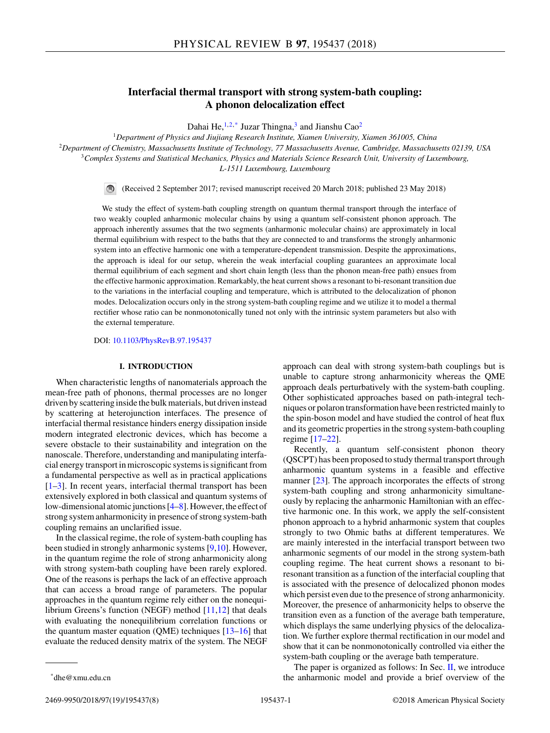# **Interfacial thermal transport with strong system-bath coupling: A phonon delocalization effect**

Dahai He,  $1,2,*$  Juzar Thingna,<sup>3</sup> and Jianshu Cao<sup>2</sup>

*Department of Physics and Jiujiang Research Institute, Xiamen University, Xiamen 361005, China Department of Chemistry, Massachusetts Institute of Technology, 77 Massachusetts Avenue, Cambridge, Massachusetts 02139, USA Complex Systems and Statistical Mechanics, Physics and Materials Science Research Unit, University of Luxembourg, L-1511 Luxembourg, Luxembourg*

(Received 2 September 2017; revised manuscript received 20 March 2018; published 23 May 2018)

We study the effect of system-bath coupling strength on quantum thermal transport through the interface of two weakly coupled anharmonic molecular chains by using a quantum self-consistent phonon approach. The approach inherently assumes that the two segments (anharmonic molecular chains) are approximately in local thermal equilibrium with respect to the baths that they are connected to and transforms the strongly anharmonic system into an effective harmonic one with a temperature-dependent transmission. Despite the approximations, the approach is ideal for our setup, wherein the weak interfacial coupling guarantees an approximate local thermal equilibrium of each segment and short chain length (less than the phonon mean-free path) ensues from the effective harmonic approximation. Remarkably, the heat current shows a resonant to bi-resonant transition due to the variations in the interfacial coupling and temperature, which is attributed to the delocalization of phonon modes. Delocalization occurs only in the strong system-bath coupling regime and we utilize it to model a thermal rectifier whose ratio can be nonmonotonically tuned not only with the intrinsic system parameters but also with the external temperature.

DOI: [10.1103/PhysRevB.97.195437](https://doi.org/10.1103/PhysRevB.97.195437)

### **I. INTRODUCTION**

When characteristic lengths of nanomaterials approach the mean-free path of phonons, thermal processes are no longer driven by scattering inside the bulk materials, but driven instead by scattering at heterojunction interfaces. The presence of interfacial thermal resistance hinders energy dissipation inside modern integrated electronic devices, which has become a severe obstacle to their sustainability and integration on the nanoscale. Therefore, understanding and manipulating interfacial energy transport in microscopic systems is significant from a fundamental perspective as well as in practical applications [\[1–3\]](#page-6-0). In recent years, interfacial thermal transport has been extensively explored in both classical and quantum systems of low-dimensional atomic junctions [\[4–8\]](#page-6-0). However, the effect of strong system anharmonicity in presence of strong system-bath coupling remains an unclarified issue.

In the classical regime, the role of system-bath coupling has been studied in strongly anharmonic systems [\[9,10\]](#page-6-0). However, in the quantum regime the role of strong anharmonicity along with strong system-bath coupling have been rarely explored. One of the reasons is perhaps the lack of an effective approach that can access a broad range of parameters. The popular approaches in the quantum regime rely either on the nonequilibrium Greens's function (NEGF) method  $[11,12]$  that deals with evaluating the nonequilibrium correlation functions or the quantum master equation (QME) techniques [\[13–16\]](#page-6-0) that evaluate the reduced density matrix of the system. The NEGF approach can deal with strong system-bath couplings but is unable to capture strong anharmonicity whereas the QME approach deals perturbatively with the system-bath coupling. Other sophisticated approaches based on path-integral techniques or polaron transformation have been restricted mainly to the spin-boson model and have studied the control of heat flux and its geometric properties in the strong system-bath coupling regime [\[17–22\]](#page-6-0).

Recently, a quantum self-consistent phonon theory (QSCPT) has been proposed to study thermal transport through anharmonic quantum systems in a feasible and effective manner [\[23\]](#page-6-0). The approach incorporates the effects of strong system-bath coupling and strong anharmonicity simultaneously by replacing the anharmonic Hamiltonian with an effective harmonic one. In this work, we apply the self-consistent phonon approach to a hybrid anharmonic system that couples strongly to two Ohmic baths at different temperatures. We are mainly interested in the interfacial transport between two anharmonic segments of our model in the strong system-bath coupling regime. The heat current shows a resonant to biresonant transition as a function of the interfacial coupling that is associated with the presence of delocalized phonon modes which persist even due to the presence of strong anharmonicity. Moreover, the presence of anharmonicity helps to observe the transition even as a function of the average bath temperature, which displays the same underlying physics of the delocalization. We further explore thermal rectification in our model and show that it can be nonmonotonically controlled via either the system-bath coupling or the average bath temperature.

The paper is organized as follows: In Sec. [II,](#page-1-0) we introduce the anharmonic model and provide a brief overview of the

\*dhe@xmu.edu.cn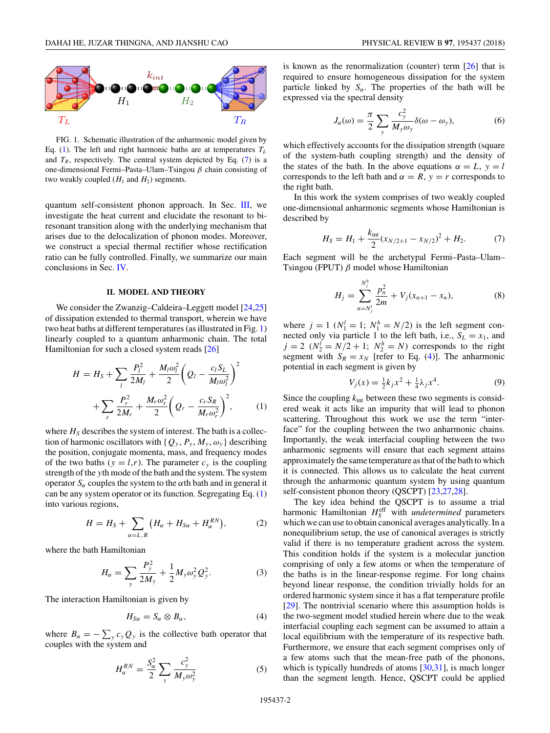<span id="page-1-0"></span>

FIG. 1. Schematic illustration of the anharmonic model given by Eq. (1). The left and right harmonic baths are at temperatures  $T_L$ and  $T_R$ , respectively. The central system depicted by Eq. (7) is a one-dimensional Fermi–Pasta–Ulam–Tsingou *β* chain consisting of two weakly coupled  $(H_1 \text{ and } H_2)$  segments.

quantum self-consistent phonon approach. In Sec. [III,](#page-2-0) we investigate the heat current and elucidate the resonant to biresonant transition along with the underlying mechanism that arises due to the delocalization of phonon modes. Moreover, we construct a special thermal rectifier whose rectification ratio can be fully controlled. Finally, we summarize our main conclusions in Sec. [IV.](#page-5-0)

### **II. MODEL AND THEORY**

We consider the Zwanzig–Caldeira–Leggett model [\[24,25\]](#page-6-0) of dissipation extended to thermal transport, wherein we have two heat baths at different temperatures (as illustrated in Fig. 1) linearly coupled to a quantum anharmonic chain. The total Hamiltonian for such a closed system reads [\[26\]](#page-6-0)

$$
H = H_S + \sum_{l} \frac{P_l^2}{2M_l} + \frac{M_l \omega_l^2}{2} \left( Q_l - \frac{c_l S_L}{M_l \omega_l^2} \right)^2 + \sum_{r} \frac{P_r^2}{2M_r} + \frac{M_r \omega_r^2}{2} \left( Q_r - \frac{c_r S_R}{M_r \omega_r^2} \right)^2, \qquad (1)
$$

where  $H<sub>S</sub>$  describes the system of interest. The bath is a collection of harmonic oscillators with  $\{Q_v, P_v, M_v, \omega_v\}$  describing the position, conjugate momenta, mass, and frequency modes of the two baths ( $y = l, r$ ). The parameter  $c<sub>y</sub>$  is the coupling strength of the *y*th mode of the bath and the system. The system operator  $S_\alpha$  couples the system to the  $\alpha$ th bath and in general it can be any system operator or its function. Segregating Eq. (1) into various regions,

$$
H = H_S + \sum_{\alpha=L,R} \left( H_\alpha + H_{S\alpha} + H_\alpha^{RN} \right),\tag{2}
$$

where the bath Hamiltonian

$$
H_{\alpha} = \sum_{y} \frac{P_{y}^{2}}{2M_{y}} + \frac{1}{2} M_{y} \omega_{y}^{2} Q_{y}^{2}.
$$
 (3)

The interaction Hamiltonian is given by

$$
H_{S\alpha} = S_{\alpha} \otimes B_{\alpha}, \tag{4}
$$

where  $B_{\alpha} = -\sum_{y} c_{y} Q_{y}$  is the collective bath operator that couples with the system and

$$
H_{\alpha}^{RN} = \frac{S_{\alpha}^2}{2} \sum_{y} \frac{c_y^2}{M_y \omega_y^2}
$$
 (5)

is known as the renormalization (counter) term [\[26\]](#page-6-0) that is required to ensure homogeneous dissipation for the system particle linked by  $S_\alpha$ . The properties of the bath will be expressed via the spectral density

$$
J_{\alpha}(\omega) = \frac{\pi}{2} \sum_{y} \frac{c_y^2}{M_y \omega_y} \delta(\omega - \omega_y), \tag{6}
$$

which effectively accounts for the dissipation strength (square of the system-bath coupling strength) and the density of the states of the bath. In the above equations  $\alpha = L$ ,  $y = l$ corresponds to the left bath and  $\alpha = R$ ,  $y = r$  corresponds to the right bath.

In this work the system comprises of two weakly coupled one-dimensional anharmonic segments whose Hamiltonian is described by

$$
H_S = H_1 + \frac{k_{\text{int}}}{2} (x_{N/2+1} - x_{N/2})^2 + H_2.
$$
 (7)

Each segment will be the archetypal Fermi–Pasta–Ulam– Tsingou (FPUT) *β* model whose Hamiltonian

$$
H_j = \sum_{n=N_j'}^{N_j^h} \frac{p_n^2}{2m} + V_j(x_{n+1} - x_n),
$$
 (8)

where  $j = 1$  ( $N_1^l = 1$ ;  $N_1^h = N/2$ ) is the left segment connected only via particle 1 to the left bath, i.e.,  $S_L = x_1$ , and  $j = 2$  ( $N_2^l = N/2 + 1$ ;  $N_2^h = N$ ) corresponds to the right segment with  $S_R = x_N$  [refer to Eq. (4)]. The anharmonic potential in each segment is given by

$$
V_j(x) = \frac{1}{2}k_j x^2 + \frac{1}{4}\lambda_j x^4.
$$
 (9)

Since the coupling  $k_{\text{int}}$  between these two segments is considered weak it acts like an impurity that will lead to phonon scattering. Throughout this work we use the term "interface" for the coupling between the two anharmonic chains. Importantly, the weak interfacial coupling between the two anharmonic segments will ensure that each segment attains approximately the same temperature as that of the bath to which it is connected. This allows us to calculate the heat current through the anharmonic quantum system by using quantum self-consistent phonon theory (QSCPT) [\[23,27,28\]](#page-6-0).

The key idea behind the QSCPT is to assume a trial harmonic Hamiltonian  $H_S^{\text{eff}}$  with *undetermined* parameters which we can use to obtain canonical averages analytically. In a nonequilibrium setup, the use of canonical averages is strictly valid if there is no temperature gradient across the system. This condition holds if the system is a molecular junction comprising of only a few atoms or when the temperature of the baths is in the linear-response regime. For long chains beyond linear response, the condition trivially holds for an ordered harmonic system since it has a flat temperature profile [\[29\]](#page-6-0). The nontrivial scenario where this assumption holds is the two-segment model studied herein where due to the weak interfacial coupling each segment can be assumed to attain a local equilibrium with the temperature of its respective bath. Furthermore, we ensure that each segment comprises only of a few atoms such that the mean-free path of the phonons, which is typically hundreds of atoms [\[30,31\]](#page-6-0), is much longer than the segment length. Hence, QSCPT could be applied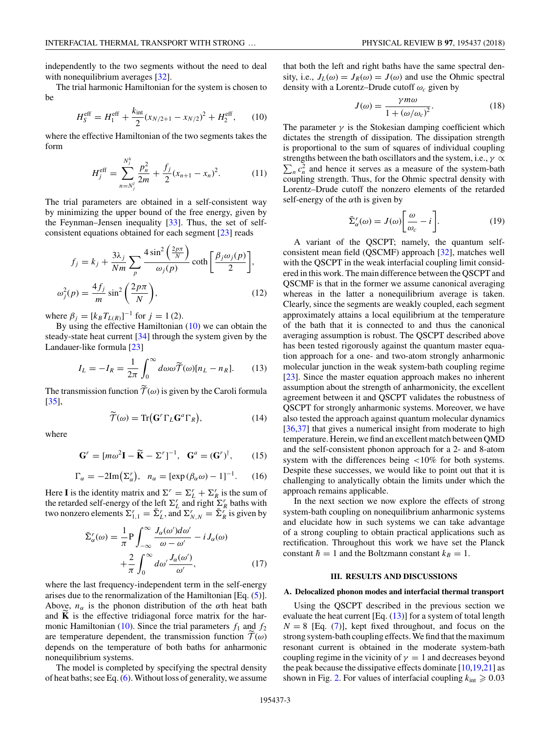<span id="page-2-0"></span>independently to the two segments without the need to deal with nonequilibrium averages [\[32\]](#page-6-0).

The trial harmonic Hamiltonian for the system is chosen to be

$$
H_S^{\text{eff}} = H_1^{\text{eff}} + \frac{k_{\text{int}}}{2} (x_{N/2+1} - x_{N/2})^2 + H_2^{\text{eff}}, \qquad (10)
$$

where the effective Hamiltonian of the two segments takes the form

$$
H_j^{\text{eff}} = \sum_{n=N_j^l}^{N_j^h} \frac{p_n^2}{2m} + \frac{f_j}{2} (x_{n+1} - x_n)^2.
$$
 (11)

The trial parameters are obtained in a self-consistent way by minimizing the upper bound of the free energy, given by the Feynman–Jensen inequality [\[33\]](#page-6-0). Thus, the set of selfconsistent equations obtained for each segment [\[23\]](#page-6-0) reads

$$
f_j = k_j + \frac{3\lambda_j}{Nm} \sum_p \frac{4\sin^2\left(\frac{2p\pi}{N}\right)}{\omega_j(p)} \coth\left[\frac{\beta_j \omega_j(p)}{2}\right],
$$

$$
\omega_j^2(p) = \frac{4f_j}{m} \sin^2\left(\frac{2p\pi}{N}\right),\tag{12}
$$

where  $\beta_j = [k_B T_{L(R)}]^{-1}$  for  $j = 1$  (2).

By using the effective Hamiltonian (10) we can obtain the steady-state heat current [\[34\]](#page-7-0) through the system given by the Landauer-like formula [\[23\]](#page-6-0)

$$
I_L = -I_R = \frac{1}{2\pi} \int_0^\infty d\omega \tilde{\mathcal{T}}(\omega) [n_L - n_R]. \tag{13}
$$

The transmission function  $T(\omega)$  is given by the Caroli formula [\[35\]](#page-7-0),

$$
\widetilde{\mathcal{T}}(\omega) = \text{Tr}(\mathbf{G}^r \Gamma_L \mathbf{G}^a \Gamma_R), \tag{14}
$$

where

$$
\mathbf{G}^r = [m\omega^2 \mathbf{I} - \widetilde{\mathbf{K}} - \Sigma^r]^{-1}, \quad \mathbf{G}^a = (\mathbf{G}^r)^{\dagger}, \quad (15)
$$

$$
\Gamma_{\alpha} = -2\mathrm{Im}(\Sigma_{\alpha}^{r}), \quad n_{\alpha} = [\exp{(\beta_{\alpha}\omega)} - 1]^{-1}.
$$
 (16)

Here **I** is the identity matrix and  $\Sigma^r = \Sigma_L^r + \Sigma_R^r$  is the sum of the retarded self-energy of the left  $\Sigma_L^r$  and right  $\Sigma_R^r$  baths with two nonzero elements  $\Sigma_{1,1}^r = \overline{\Sigma}_L^r$ , and  $\Sigma_{N,N}^r = \overline{\Sigma}_R^r$  is given by

$$
\bar{\Sigma}_{\alpha}^{r}(\omega) = \frac{1}{\pi} P \int_{-\infty}^{\infty} \frac{J_{\alpha}(\omega') d\omega'}{\omega - \omega'} - i J_{\alpha}(\omega) \n+ \frac{2}{\pi} \int_{0}^{\infty} d\omega' \frac{J_{\alpha}(\omega')}{\omega'},
$$
\n(17)

where the last frequency-independent term in the self-energy arises due to the renormalization of the Hamiltonian [Eq.  $(5)$ ]. Above,  $n_{\alpha}$  is the phonon distribution of the  $\alpha$ th heat bath and  $\bf{K}$  is the effective tridiagonal force matrix for the harmonic Hamiltonian (10). Since the trial parameters  $f_1$  and  $f_2$ are temperature dependent, the transmission function  $T(\omega)$ depends on the temperature of both baths for anharmonic nonequilibrium systems.

The model is completed by specifying the spectral density of heat baths; see Eq. [\(6\)](#page-1-0). Without loss of generality, we assume that both the left and right baths have the same spectral density, i.e.,  $J_L(\omega) = J_R(\omega) = J(\omega)$  and use the Ohmic spectral density with a Lorentz–Drude cutoff *ωc* given by

$$
J(\omega) = \frac{\gamma m \omega}{1 + (\omega/\omega_c)^2}.
$$
 (18)

The parameter  $\gamma$  is the Stokesian damping coefficient which dictates the strength of dissipation. The dissipation strength is proportional to the sum of squares of individual coupling strengths between the bath oscillators and the system, i.e., *γ* ∝  $\sum_{n} c_n^2$  and hence it serves as a measure of the system-bath coupling strength. Thus, for the Ohmic spectral density with Lorentz–Drude cutoff the nonzero elements of the retarded self-energy of the *α*th is given by

$$
\bar{\Sigma}_{\alpha}^{r}(\omega) = J(\omega) \bigg[ \frac{\omega}{\omega_{c}} - i \bigg]. \tag{19}
$$

A variant of the QSCPT; namely, the quantum selfconsistent mean field (QSCMF) approach [\[32\]](#page-6-0), matches well with the QSCPT in the weak interfacial coupling limit considered in this work. The main difference between the QSCPT and QSCMF is that in the former we assume canonical averaging whereas in the latter a nonequilibrium average is taken. Clearly, since the segments are weakly coupled, each segment approximately attains a local equilibrium at the temperature of the bath that it is connected to and thus the canonical averaging assumption is robust. The QSCPT described above has been tested rigorously against the quantum master equation approach for a one- and two-atom strongly anharmonic molecular junction in the weak system-bath coupling regime [\[23\]](#page-6-0). Since the master equation approach makes no inherent assumption about the strength of anharmonicity, the excellent agreement between it and QSCPT validates the robustness of QSCPT for strongly anharmonic systems. Moreover, we have also tested the approach against quantum molecular dynamics [\[36,37\]](#page-7-0) that gives a numerical insight from moderate to high temperature. Herein, we find an excellent match between QMD and the self-consistent phonon approach for a 2- and 8-atom system with the differences being *<*10% for both systems. Despite these successes, we would like to point out that it is challenging to analytically obtain the limits under which the approach remains applicable.

In the next section we now explore the effects of strong system-bath coupling on nonequilibrium anharmonic systems and elucidate how in such systems we can take advantage of a strong coupling to obtain practical applications such as rectification. Throughout this work we have set the Planck constant  $\hbar = 1$  and the Boltzmann constant  $k_B = 1$ .

#### **III. RESULTS AND DISCUSSIONS**

## **A. Delocalized phonon modes and interfacial thermal transport**

Using the QSCPT described in the previous section we evaluate the heat current [Eq.  $(13)$ ] for a system of total length  $N = 8$  [Eq. [\(7\)](#page-1-0)], kept fixed throughout, and focus on the strong system-bath coupling effects.We find that the maximum resonant current is obtained in the moderate system-bath coupling regime in the vicinity of  $\gamma = 1$  and decreases beyond the peak because the dissipative effects dominate  $[10,19,21]$  as shown in Fig. [2.](#page-3-0) For values of interfacial coupling  $k_{\text{int}} \geqslant 0.03$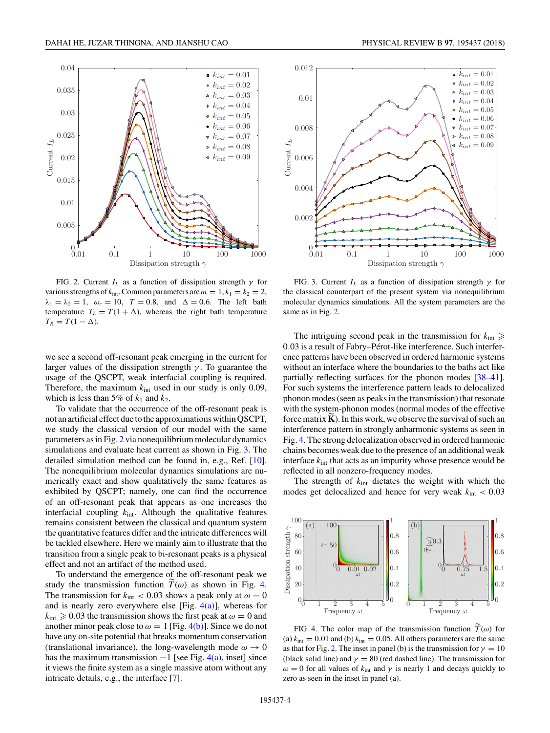<span id="page-3-0"></span>

FIG. 2. Current  $I_L$  as a function of dissipation strength  $\gamma$  for various strengths of  $k_{\text{int}}$ . Common parameters are  $m = 1, k_1 = k_2 = 2$ ,  $\lambda_1 = \lambda_2 = 1$ ,  $\omega_c = 10$ ,  $T = 0.8$ , and  $\Delta = 0.6$ . The left bath temperature  $T_L = T(1 + \Delta)$ , whereas the right bath temperature  $T_R = T(1 - \Delta).$ 

we see a second off-resonant peak emerging in the current for larger values of the dissipation strength *γ* . To guarantee the usage of the QSCPT, weak interfacial coupling is required. Therefore, the maximum  $k_{int}$  used in our study is only 0.09, which is less than 5% of  $k_1$  and  $k_2$ .

To validate that the occurrence of the off-resonant peak is not an artificial effect due to the approximations within QSCPT, we study the classical version of our model with the same parameters as in Fig. 2 via nonequilibrium molecular dynamics simulations and evaluate heat current as shown in Fig. 3. The detailed simulation method can be found in, e.g., Ref. [\[10\]](#page-6-0). The nonequilibrium molecular dynamics simulations are numerically exact and show qualitatively the same features as exhibited by QSCPT; namely, one can find the occurrence of an off-resonant peak that appears as one increases the interfacial coupling *k*int. Although the qualitative features remains consistent between the classical and quantum system the quantitative features differ and the intricate differences will be tackled elsewhere. Here we mainly aim to illustrate that the transition from a single peak to bi-resonant peaks is a physical effect and not an artifact of the method used.

To understand the emergence of the off-resonant peak we study the transmission function  $T(\omega)$  as shown in Fig. 4. The transmission for  $k_{\text{int}} < 0.03$  shows a peak only at  $\omega = 0$ and is nearly zero everywhere else [Fig.  $4(a)$ ], whereas for  $k_{\text{int}} \ge 0.03$  the transmission shows the first peak at  $\omega = 0$  and another minor peak close to  $\omega = 1$  [Fig. 4(b)]. Since we do not have any on-site potential that breaks momentum conservation (translational invariance), the long-wavelength mode  $\omega \rightarrow 0$ has the maximum transmission  $=1$  [see Fig. 4(a), inset] since it views the finite system as a single massive atom without any intricate details, e.g., the interface [\[7\]](#page-6-0).



FIG. 3. Current  $I_L$  as a function of dissipation strength  $\gamma$  for the classical counterpart of the present system via nonequilibrium molecular dynamics simulations. All the system parameters are the same as in Fig. 2.

The intriguing second peak in the transmission for  $k_{\text{int}} \geq$ 0*.*03 is a result of Fabry–Pérot-like interference. Such interference patterns have been observed in ordered harmonic systems without an interface where the boundaries to the baths act like partially reflecting surfaces for the phonon modes [\[38–41\]](#page-7-0). For such systems the interference pattern leads to delocalized phonon modes (seen as peaks in the transmission) that resonate with the system-phonon modes (normal modes of the effective force matrix  $\bf{K}$ ). In this work, we observe the survival of such an interference pattern in strongly anharmonic systems as seen in Fig. 4. The strong delocalization observed in ordered harmonic chains becomes weak due to the presence of an additional weak interface  $k_{\text{int}}$  that acts as an impurity whose presence would be reflected in all nonzero-frequency modes.

The strength of *k*int dictates the weight with which the modes get delocalized and hence for very weak *k*int *<* 0*.*03



FIG. 4. The color map of the transmission function  $\mathcal{T}(\omega)$  for (a)  $k_{\text{int}} = 0.01$  and (b)  $k_{\text{int}} = 0.05$ . All others parameters are the same as that for Fig. 2. The inset in panel (b) is the transmission for  $\gamma = 10$ (black solid line) and  $\gamma = 80$  (red dashed line). The transmission for  $ω = 0$  for all values of  $k<sub>int</sub>$  and  $γ$  is nearly 1 and decays quickly to zero as seen in the inset in panel (a).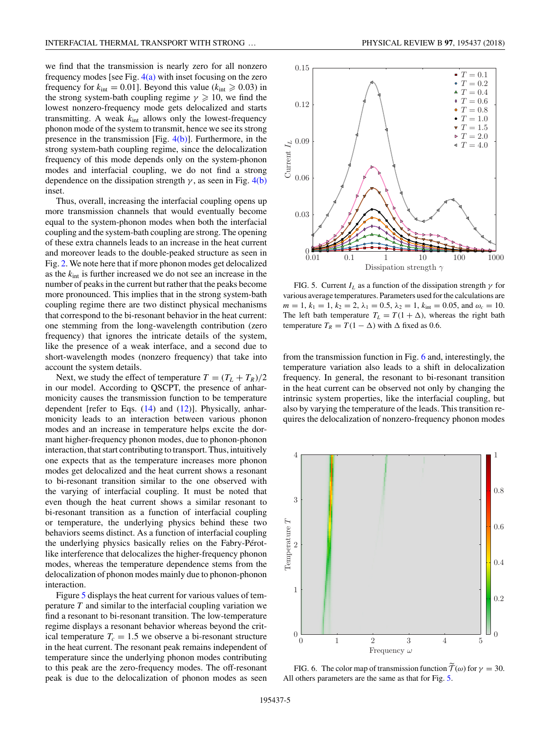we find that the transmission is nearly zero for all nonzero frequency modes [see Fig.  $4(a)$  with inset focusing on the zero frequency for  $k_{\text{int}} = 0.01$ ]. Beyond this value ( $k_{\text{int}} \ge 0.03$ ) in the strong system-bath coupling regime  $\gamma \geqslant 10$ , we find the lowest nonzero-frequency mode gets delocalized and starts transmitting. A weak *k*int allows only the lowest-frequency phonon mode of the system to transmit, hence we see its strong presence in the transmission [Fig.  $4(b)$ ]. Furthermore, in the strong system-bath coupling regime, since the delocalization frequency of this mode depends only on the system-phonon modes and interfacial coupling, we do not find a strong dependence on the dissipation strength  $\gamma$ , as seen in Fig. [4\(b\)](#page-3-0) inset.

Thus, overall, increasing the interfacial coupling opens up more transmission channels that would eventually become equal to the system-phonon modes when both the interfacial coupling and the system-bath coupling are strong. The opening of these extra channels leads to an increase in the heat current and moreover leads to the double-peaked structure as seen in Fig. [2.](#page-3-0) We note here that if more phonon modes get delocalized as the *k*int is further increased we do not see an increase in the number of peaks in the current but rather that the peaks become more pronounced. This implies that in the strong system-bath coupling regime there are two distinct physical mechanisms that correspond to the bi-resonant behavior in the heat current: one stemming from the long-wavelength contribution (zero frequency) that ignores the intricate details of the system, like the presence of a weak interface, and a second due to short-wavelength modes (nonzero frequency) that take into account the system details.

Next, we study the effect of temperature  $T = (T_L + T_R)/2$ in our model. According to QSCPT, the presence of anharmonicity causes the transmission function to be temperature dependent [refer to Eqs. [\(14\)](#page-2-0) and [\(12\)](#page-2-0)]. Physically, anharmonicity leads to an interaction between various phonon modes and an increase in temperature helps excite the dormant higher-frequency phonon modes, due to phonon-phonon interaction, that start contributing to transport. Thus, intuitively one expects that as the temperature increases more phonon modes get delocalized and the heat current shows a resonant to bi-resonant transition similar to the one observed with the varying of interfacial coupling. It must be noted that even though the heat current shows a similar resonant to bi-resonant transition as a function of interfacial coupling or temperature, the underlying physics behind these two behaviors seems distinct. As a function of interfacial coupling the underlying physics basically relies on the Fabry-Pérotlike interference that delocalizes the higher-frequency phonon modes, whereas the temperature dependence stems from the delocalization of phonon modes mainly due to phonon-phonon interaction.

Figure 5 displays the heat current for various values of temperature *T* and similar to the interfacial coupling variation we find a resonant to bi-resonant transition. The low-temperature regime displays a resonant behavior whereas beyond the critical temperature  $T_c = 1.5$  we observe a bi-resonant structure in the heat current. The resonant peak remains independent of temperature since the underlying phonon modes contributing to this peak are the zero-frequency modes. The off-resonant peak is due to the delocalization of phonon modes as seen



FIG. 5. Current  $I_L$  as a function of the dissipation strength  $\gamma$  for various average temperatures. Parameters used for the calculations are  $m = 1, k_1 = 1, k_2 = 2, \lambda_1 = 0.5, \lambda_2 = 1, k_{\text{int}} = 0.05, \text{ and } \omega_c = 10.$ The left bath temperature  $T_L = T(1 + \Delta)$ , whereas the right bath temperature  $T_R = T(1 - \Delta)$  with  $\Delta$  fixed as 0.6.

from the transmission function in Fig. 6 and, interestingly, the temperature variation also leads to a shift in delocalization frequency. In general, the resonant to bi-resonant transition in the heat current can be observed not only by changing the intrinsic system properties, like the interfacial coupling, but also by varying the temperature of the leads. This transition requires the delocalization of nonzero-frequency phonon modes



FIG. 6. The color map of transmission function  $T(\omega)$  for  $\gamma = 30$ . All others parameters are the same as that for Fig. 5.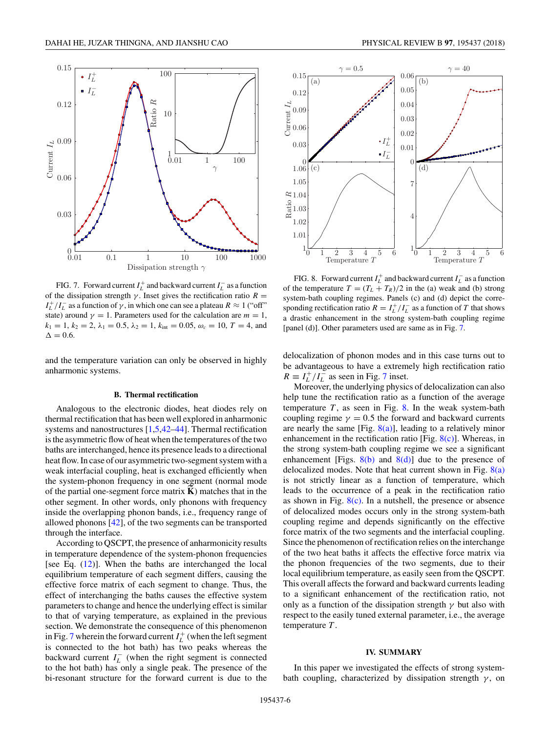<span id="page-5-0"></span>

FIG. 7. Forward current  $I_L^+$  and backward current  $I_L^-$  as a function of the dissipation strength  $\gamma$ . Inset gives the rectification ratio  $R =$  $I_L^+/I_L^-$  as a function of  $\gamma$ , in which one can see a plateau  $R \approx 1$  ("off") state) around  $\gamma = 1$ . Parameters used for the calculation are  $m = 1$ ,  $k_1 = 1, k_2 = 2, \lambda_1 = 0.5, \lambda_2 = 1, k_{\text{int}} = 0.05, \omega_c = 10, T = 4, \text{ and}$  $\Delta = 0.6$ .

and the temperature variation can only be observed in highly anharmonic systems.

#### **B. Thermal rectification**

Analogous to the electronic diodes, heat diodes rely on thermal rectification that has been well explored in anharmonic systems and nanostructures [\[1,5](#page-6-0)[,42–44\]](#page-7-0). Thermal rectification is the asymmetric flow of heat when the temperatures of the two baths are interchanged, hence its presence leads to a directional heat flow. In case of our asymmetric two-segment system with a weak interfacial coupling, heat is exchanged efficiently when the system-phonon frequency in one segment (normal mode of the partial one-segment force matrix **K** ) matches that in the other segment. In other words, only phonons with frequency inside the overlapping phonon bands, i.e., frequency range of allowed phonons [\[42\]](#page-7-0), of the two segments can be transported through the interface.

According to QSCPT, the presence of anharmonicity results in temperature dependence of the system-phonon frequencies [see Eq. [\(12\)](#page-2-0)]. When the baths are interchanged the local equilibrium temperature of each segment differs, causing the effective force matrix of each segment to change. Thus, the effect of interchanging the baths causes the effective system parameters to change and hence the underlying effect is similar to that of varying temperature, as explained in the previous section. We demonstrate the consequence of this phenomenon in Fig. 7 wherein the forward current  $I_L^+$  (when the left segment is connected to the hot bath) has two peaks whereas the backward current  $I_L^-$  (when the right segment is connected to the hot bath) has only a single peak. The presence of the bi-resonant structure for the forward current is due to the



FIG. 8. Forward current  $I_L^+$  and backward current  $I_L^-$  as a function of the temperature  $T = (T_L + T_R)/2$  in the (a) weak and (b) strong system-bath coupling regimes. Panels (c) and (d) depict the corresponding rectification ratio  $R = I_L^+/I_L^-$  as a function of *T* that shows a drastic enhancement in the strong system-bath coupling regime [panel (d)]. Other parameters used are same as in Fig. 7.

delocalization of phonon modes and in this case turns out to be advantageous to have a extremely high rectification ratio  $R \equiv I_L^+/I_L^-$  as seen in Fig. 7 inset.

Moreover, the underlying physics of delocalization can also help tune the rectification ratio as a function of the average temperature  $T$ , as seen in Fig. 8. In the weak system-bath coupling regime  $\gamma = 0.5$  the forward and backward currents are nearly the same [Fig.  $8(a)$ ], leading to a relatively minor enhancement in the rectification ratio [Fig.  $8(c)$ ]. Whereas, in the strong system-bath coupling regime we see a significant enhancement [Figs.  $8(b)$  and  $8(d)$ ] due to the presence of delocalized modes. Note that heat current shown in Fig.  $8(a)$ is not strictly linear as a function of temperature, which leads to the occurrence of a peak in the rectification ratio as shown in Fig.  $8(c)$ . In a nutshell, the presence or absence of delocalized modes occurs only in the strong system-bath coupling regime and depends significantly on the effective force matrix of the two segments and the interfacial coupling. Since the phenomenon of rectification relies on the interchange of the two heat baths it affects the effective force matrix via the phonon frequencies of the two segments, due to their local equilibrium temperature, as easily seen from the QSCPT. This overall affects the forward and backward currents leading to a significant enhancement of the rectification ratio, not only as a function of the dissipation strength  $\gamma$  but also with respect to the easily tuned external parameter, i.e., the average temperature *T* .

### **IV. SUMMARY**

In this paper we investigated the effects of strong systembath coupling, characterized by dissipation strength  $\gamma$ , on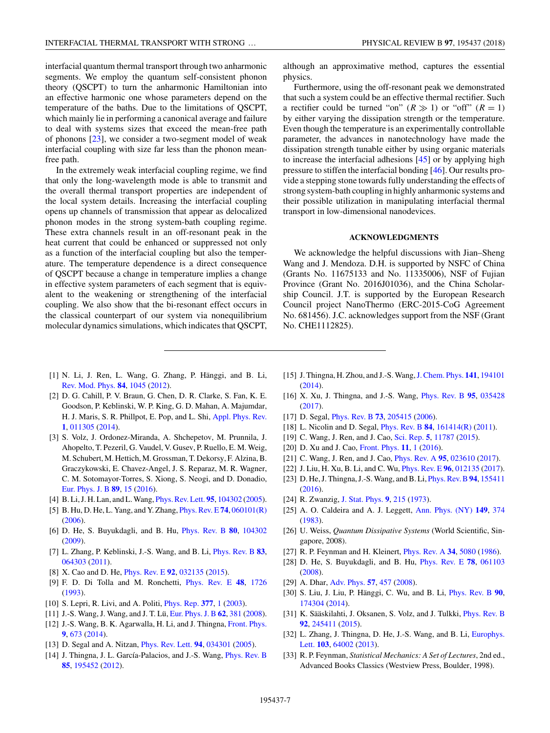<span id="page-6-0"></span>interfacial quantum thermal transport through two anharmonic segments. We employ the quantum self-consistent phonon theory (QSCPT) to turn the anharmonic Hamiltonian into an effective harmonic one whose parameters depend on the temperature of the baths. Due to the limitations of QSCPT, which mainly lie in performing a canonical average and failure to deal with systems sizes that exceed the mean-free path of phonons [23], we consider a two-segment model of weak interfacial coupling with size far less than the phonon meanfree path.

In the extremely weak interfacial coupling regime, we find that only the long-wavelength mode is able to transmit and the overall thermal transport properties are independent of the local system details. Increasing the interfacial coupling opens up channels of transmission that appear as delocalized phonon modes in the strong system-bath coupling regime. These extra channels result in an off-resonant peak in the heat current that could be enhanced or suppressed not only as a function of the interfacial coupling but also the temperature. The temperature dependence is a direct consequence of QSCPT because a change in temperature implies a change in effective system parameters of each segment that is equivalent to the weakening or strengthening of the interfacial coupling. We also show that the bi-resonant effect occurs in the classical counterpart of our system via nonequilibrium molecular dynamics simulations, which indicates that QSCPT, although an approximative method, captures the essential physics.

Furthermore, using the off-resonant peak we demonstrated that such a system could be an effective thermal rectifier. Such a rectifier could be turned "on"  $(R \gg 1)$  or "off"  $(R = 1)$ by either varying the dissipation strength or the temperature. Even though the temperature is an experimentally controllable parameter, the advances in nanotechnology have made the dissipation strength tunable either by using organic materials to increase the interfacial adhesions [\[45\]](#page-7-0) or by applying high pressure to stiffen the interfacial bonding [\[46\]](#page-7-0). Our results provide a stepping stone towards fully understanding the effects of strong system-bath coupling in highly anharmonic systems and their possible utilization in manipulating interfacial thermal transport in low-dimensional nanodevices.

### **ACKNOWLEDGMENTS**

We acknowledge the helpful discussions with Jian–Sheng Wang and J. Mendoza. D.H. is supported by NSFC of China (Grants No. 11675133 and No. 11335006), NSF of Fujian Province (Grant No. 2016J01036), and the China Scholarship Council. J.T. is supported by the European Research Council project NanoThermo (ERC-2015-CoG Agreement No. 681456). J.C. acknowledges support from the NSF (Grant No. CHE1112825).

- [1] N. Li, J. Ren, L. Wang, G. Zhang, P. Hänggi, and B. Li, [Rev. Mod. Phys.](https://doi.org/10.1103/RevModPhys.84.1045) **[84](https://doi.org/10.1103/RevModPhys.84.1045)**, [1045](https://doi.org/10.1103/RevModPhys.84.1045) [\(2012\)](https://doi.org/10.1103/RevModPhys.84.1045).
- [2] D. G. Cahill, P. V. Braun, G. Chen, D. R. Clarke, S. Fan, K. E. Goodson, P. Keblinski, W. P. King, G. D. Mahan, A. Majumdar, H. J. Maris, S. R. Phillpot, E. Pop, and L. Shi, [Appl. Phys. Rev.](https://doi.org/10.1063/1.4832615) **[1](https://doi.org/10.1063/1.4832615)**, [011305](https://doi.org/10.1063/1.4832615) [\(2014\)](https://doi.org/10.1063/1.4832615).
- [3] S. Volz, J. Ordonez-Miranda, A. Shchepetov, M. Prunnila, J. Ahopelto, T. Pezeril, G. Vaudel, V. Gusev, P. Ruello, E. M. Weig, M. Schubert, M. Hettich, M. Grossman, T. Dekorsy, F. Alzina, B. Graczykowski, E. Chavez-Angel, J. S. Reparaz, M. R. Wagner, C. M. Sotomayor-Torres, S. Xiong, S. Neogi, and D. Donadio, [Eur. Phys. J. B](https://doi.org/10.1140/epjb/e2015-60727-7) **[89](https://doi.org/10.1140/epjb/e2015-60727-7)**, [15](https://doi.org/10.1140/epjb/e2015-60727-7) [\(2016\)](https://doi.org/10.1140/epjb/e2015-60727-7).
- [4] B. Li, J. H. Lan, and L.Wang, [Phys. Rev. Lett.](https://doi.org/10.1103/PhysRevLett.95.104302) **[95](https://doi.org/10.1103/PhysRevLett.95.104302)**, [104302](https://doi.org/10.1103/PhysRevLett.95.104302) [\(2005\)](https://doi.org/10.1103/PhysRevLett.95.104302).
- [5] B. Hu, D. He, L. Yang, and Y. Zhang, [Phys. Rev. E](https://doi.org/10.1103/PhysRevE.74.060101) **[74](https://doi.org/10.1103/PhysRevE.74.060101)**, [060101\(R\)](https://doi.org/10.1103/PhysRevE.74.060101) [\(2006\)](https://doi.org/10.1103/PhysRevE.74.060101).
- [6] D. He, S. Buyukdagli, and B. Hu, [Phys. Rev. B](https://doi.org/10.1103/PhysRevB.80.104302) **[80](https://doi.org/10.1103/PhysRevB.80.104302)**, [104302](https://doi.org/10.1103/PhysRevB.80.104302) [\(2009\)](https://doi.org/10.1103/PhysRevB.80.104302).
- [7] L. Zhang, P. Keblinski, J.-S. Wang, and B. Li, [Phys. Rev. B](https://doi.org/10.1103/PhysRevB.83.064303) **[83](https://doi.org/10.1103/PhysRevB.83.064303)**, [064303](https://doi.org/10.1103/PhysRevB.83.064303) [\(2011\)](https://doi.org/10.1103/PhysRevB.83.064303).
- [8] X. Cao and D. He, [Phys. Rev. E](https://doi.org/10.1103/PhysRevE.92.032135) **[92](https://doi.org/10.1103/PhysRevE.92.032135)**, [032135](https://doi.org/10.1103/PhysRevE.92.032135) [\(2015\)](https://doi.org/10.1103/PhysRevE.92.032135).
- [9] F. D. Di Tolla and M. Ronchetti, [Phys. Rev. E](https://doi.org/10.1103/PhysRevE.48.1726) **[48](https://doi.org/10.1103/PhysRevE.48.1726)**, [1726](https://doi.org/10.1103/PhysRevE.48.1726) [\(1993\)](https://doi.org/10.1103/PhysRevE.48.1726).
- [10] S. Lepri, R. Livi, and A. Politi, [Phys. Rep.](https://doi.org/10.1016/S0370-1573(02)00558-6) **[377](https://doi.org/10.1016/S0370-1573(02)00558-6)**, [1](https://doi.org/10.1016/S0370-1573(02)00558-6) [\(2003\)](https://doi.org/10.1016/S0370-1573(02)00558-6).
- [11] J.-S. Wang, J. Wang, and J. T. Lü, [Eur. Phys. J. B](https://doi.org/10.1140/epjb/e2008-00195-8) **[62](https://doi.org/10.1140/epjb/e2008-00195-8)**, [381](https://doi.org/10.1140/epjb/e2008-00195-8) [\(2008\)](https://doi.org/10.1140/epjb/e2008-00195-8).
- [12] J.-S. Wang, B. K. Agarwalla, H. Li, and J. Thingna, [Front. Phys.](https://doi.org/10.1007/s11467-013-0340-x) **[9](https://doi.org/10.1007/s11467-013-0340-x)**, [673](https://doi.org/10.1007/s11467-013-0340-x) [\(2014\)](https://doi.org/10.1007/s11467-013-0340-x).
- [13] D. Segal and A. Nitzan, [Phys. Rev. Lett.](https://doi.org/10.1103/PhysRevLett.94.034301) **[94](https://doi.org/10.1103/PhysRevLett.94.034301)**, [034301](https://doi.org/10.1103/PhysRevLett.94.034301) [\(2005\)](https://doi.org/10.1103/PhysRevLett.94.034301).
- [14] J. Thingna, J. L. García-Palacios, and J.-S. Wang, *[Phys. Rev. B](https://doi.org/10.1103/PhysRevB.85.195452)* **[85](https://doi.org/10.1103/PhysRevB.85.195452)**, [195452](https://doi.org/10.1103/PhysRevB.85.195452) [\(2012\)](https://doi.org/10.1103/PhysRevB.85.195452).
- [15] J. Thingna, H. Zhou, and J.-S.Wang,[J. Chem. Phys.](https://doi.org/10.1063/1.4901274) **[141](https://doi.org/10.1063/1.4901274)**, [194101](https://doi.org/10.1063/1.4901274) [\(2014\)](https://doi.org/10.1063/1.4901274).
- [16] X. Xu, J. Thingna, and J.-S. Wang, [Phys. Rev. B](https://doi.org/10.1103/PhysRevB.95.035428) **[95](https://doi.org/10.1103/PhysRevB.95.035428)**, [035428](https://doi.org/10.1103/PhysRevB.95.035428) [\(2017\)](https://doi.org/10.1103/PhysRevB.95.035428).
- [17] D. Segal, [Phys. Rev. B](https://doi.org/10.1103/PhysRevB.73.205415) **[73](https://doi.org/10.1103/PhysRevB.73.205415)**, [205415](https://doi.org/10.1103/PhysRevB.73.205415) [\(2006\)](https://doi.org/10.1103/PhysRevB.73.205415).
- [18] L. Nicolin and D. Segal, [Phys. Rev. B](https://doi.org/10.1103/PhysRevB.84.161414) **[84](https://doi.org/10.1103/PhysRevB.84.161414)**, [161414\(R\)](https://doi.org/10.1103/PhysRevB.84.161414) [\(2011\)](https://doi.org/10.1103/PhysRevB.84.161414).
- [19] C. Wang, J. Ren, and J. Cao, [Sci. Rep.](https://doi.org/10.1038/srep11787) **[5](https://doi.org/10.1038/srep11787)**, [11787](https://doi.org/10.1038/srep11787) [\(2015\)](https://doi.org/10.1038/srep11787).
- [20] D. Xu and J. Cao, [Front. Phys.](https://doi.org/10.1007/s11467-016-0540-2) **[11](https://doi.org/10.1007/s11467-016-0540-2)**, [1](https://doi.org/10.1007/s11467-016-0540-2) [\(2016\)](https://doi.org/10.1007/s11467-016-0540-2).
- [21] C. Wang, J. Ren, and J. Cao, [Phys. Rev. A](https://doi.org/10.1103/PhysRevA.95.023610) **[95](https://doi.org/10.1103/PhysRevA.95.023610)**, [023610](https://doi.org/10.1103/PhysRevA.95.023610) [\(2017\)](https://doi.org/10.1103/PhysRevA.95.023610).
- [22] J. Liu, H. Xu, B. Li, and C. Wu, [Phys. Rev. E](https://doi.org/10.1103/PhysRevE.96.012135) **[96](https://doi.org/10.1103/PhysRevE.96.012135)**, [012135](https://doi.org/10.1103/PhysRevE.96.012135) [\(2017\)](https://doi.org/10.1103/PhysRevE.96.012135).
- [23] D. He, J. Thingna, J.-S.Wang, and B. Li, [Phys. Rev. B](https://doi.org/10.1103/PhysRevB.94.155411)**[94](https://doi.org/10.1103/PhysRevB.94.155411)**, [155411](https://doi.org/10.1103/PhysRevB.94.155411) [\(2016\)](https://doi.org/10.1103/PhysRevB.94.155411).
- [24] R. Zwanzig, [J. Stat. Phys.](https://doi.org/10.1007/BF01008729) **[9](https://doi.org/10.1007/BF01008729)**, [215](https://doi.org/10.1007/BF01008729) [\(1973\)](https://doi.org/10.1007/BF01008729).
- [25] A. O. Caldeira and A. J. Leggett, [Ann. Phys. \(NY\)](https://doi.org/10.1016/0003-4916(83)90202-6) **[149](https://doi.org/10.1016/0003-4916(83)90202-6)**, [374](https://doi.org/10.1016/0003-4916(83)90202-6) [\(1983\)](https://doi.org/10.1016/0003-4916(83)90202-6).
- [26] U. Weiss, *Quantum Dissipative Systems* (World Scientific, Singapore, 2008).
- [27] R. P. Feynman and H. Kleinert, [Phys. Rev. A](https://doi.org/10.1103/PhysRevA.34.5080) **[34](https://doi.org/10.1103/PhysRevA.34.5080)**, [5080](https://doi.org/10.1103/PhysRevA.34.5080) [\(1986\)](https://doi.org/10.1103/PhysRevA.34.5080).
- [28] D. He, S. Buyukdagli, and B. Hu, [Phys. Rev. E](https://doi.org/10.1103/PhysRevE.78.061103) **[78](https://doi.org/10.1103/PhysRevE.78.061103)**, [061103](https://doi.org/10.1103/PhysRevE.78.061103) [\(2008\)](https://doi.org/10.1103/PhysRevE.78.061103).
- [29] A. Dhar, [Adv. Phys.](https://doi.org/10.1080/00018730802538522) **[57](https://doi.org/10.1080/00018730802538522)**, [457](https://doi.org/10.1080/00018730802538522) [\(2008\)](https://doi.org/10.1080/00018730802538522).
- [30] S. Liu, J. Liu, P. Hänggi, C. Wu, and B. Li, [Phys. Rev. B](https://doi.org/10.1103/PhysRevB.90.174304) **[90](https://doi.org/10.1103/PhysRevB.90.174304)**, [174304](https://doi.org/10.1103/PhysRevB.90.174304) [\(2014\)](https://doi.org/10.1103/PhysRevB.90.174304).
- [31] K. Sääskilahti, J. Oksanen, S. Volz, and J. Tulkki, [Phys. Rev. B](https://doi.org/10.1103/PhysRevB.92.245411) **[92](https://doi.org/10.1103/PhysRevB.92.245411)**, [245411](https://doi.org/10.1103/PhysRevB.92.245411) [\(2015\)](https://doi.org/10.1103/PhysRevB.92.245411).
- [32] [L. Zhang, J. Thingna, D. He, J.-S. Wang, and B. Li,](https://doi.org/10.1209/0295-5075/103/64002) Europhys. Lett. **[103](https://doi.org/10.1209/0295-5075/103/64002)**, [64002](https://doi.org/10.1209/0295-5075/103/64002) [\(2013\)](https://doi.org/10.1209/0295-5075/103/64002).
- [33] R. P. Feynman, *Statistical Mechanics: A Set of Lectures*, 2nd ed., Advanced Books Classics (Westview Press, Boulder, 1998).